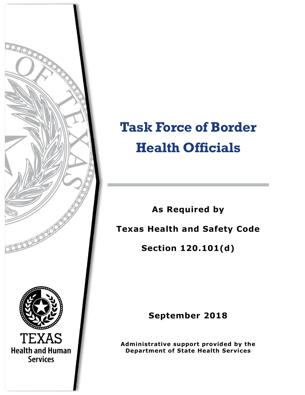

# **Task Force of Border Health Officials**

**As Required by Texas Health and Safety Code** 

**Section 120.101(d)**

**September 2018**

**Administrative support provided by the Department of State Health Services**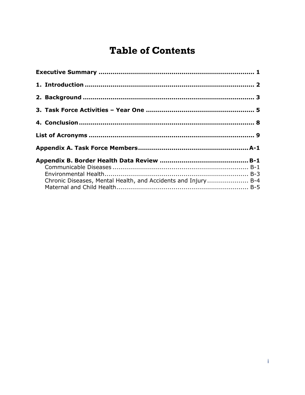# **Table of Contents**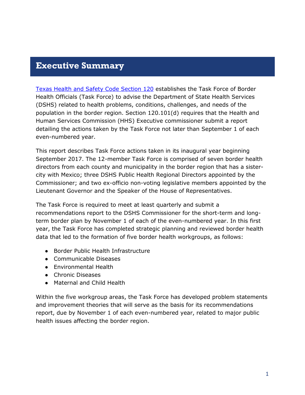## <span id="page-2-0"></span>**Executive Summary**

[Texas Health and Safety Code Section 120](https://statutes.capitol.texas.gov/Docs/HS/htm/HS.120.htm) establishes the Task Force of Border Health Officials (Task Force) to advise the Department of State Health Services (DSHS) related to health problems, conditions, challenges, and needs of the population in the border region. Section 120.101(d) requires that the Health and Human Services Commission (HHS) Executive commissioner submit a report detailing the actions taken by the Task Force not later than September 1 of each even-numbered year.

This report describes Task Force actions taken in its inaugural year beginning September 2017. The 12-member Task Force is comprised of seven border health directors from each county and municipality in the border region that has a sistercity with Mexico; three DSHS Public Health Regional Directors appointed by the Commissioner; and two ex-officio non-voting legislative members appointed by the Lieutenant Governor and the Speaker of the House of Representatives.

The Task Force is required to meet at least quarterly and submit a recommendations report to the DSHS Commissioner for the short-term and longterm border plan by November 1 of each of the even-numbered year. In this first year, the Task Force has completed strategic planning and reviewed border health data that led to the formation of five border health workgroups, as follows:

- Border Public Health Infrastructure
- Communicable Diseases
- Environmental Health
- Chronic Diseases
- Maternal and Child Health

Within the five workgroup areas, the Task Force has developed problem statements and improvement theories that will serve as the basis for its recommendations report, due by November 1 of each even-numbered year, related to major public health issues affecting the border region.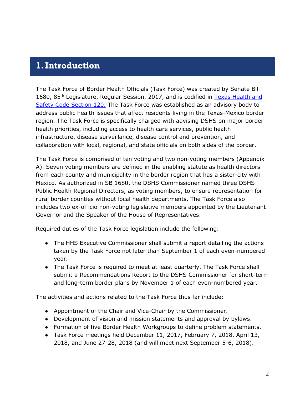# <span id="page-3-0"></span>**1.Introduction**

The Task Force of Border Health Officials (Task Force) was created by Senate Bill 1680, 85<sup>th</sup> Legislature, Regular Session, 2017, and is codified in Texas Health and [Safety Code Section 120.](https://statutes.capitol.texas.gov/Docs/HS/htm/HS.120.htm) The Task Force was established as an advisory body to address public health issues that affect residents living in the Texas-Mexico border region. The Task Force is specifically charged with advising DSHS on major border health priorities, including access to health care services, public health infrastructure, disease surveillance, disease control and prevention, and collaboration with local, regional, and state officials on both sides of the border.

The Task Force is comprised of ten voting and two non-voting members (Appendix A). Seven voting members are defined in the enabling statute as health directors from each county and municipality in the border region that has a sister-city with Mexico. As authorized in SB 1680, the DSHS Commissioner named three DSHS Public Health Regional Directors, as voting members, to ensure representation for rural border counties without local health departments. The Task Force also includes two ex-officio non-voting legislative members appointed by the Lieutenant Governor and the Speaker of the House of Representatives.

Required duties of the Task Force legislation include the following:

- The HHS Executive Commissioner shall submit a report detailing the actions taken by the Task Force not later than September 1 of each even-numbered year.
- The Task Force is required to meet at least quarterly. The Task Force shall submit a Recommendations Report to the DSHS Commissioner for short-term and long-term border plans by November 1 of each even-numbered year.

The activities and actions related to the Task Force thus far include:

- Appointment of the Chair and Vice-Chair by the Commissioner.
- Development of vision and mission statements and approval by bylaws.
- Formation of five Border Health Workgroups to define problem statements.
- Task Force meetings held December 11, 2017, February 7, 2018, April 13, 2018, and June 27-28, 2018 (and will meet next September 5-6, 2018).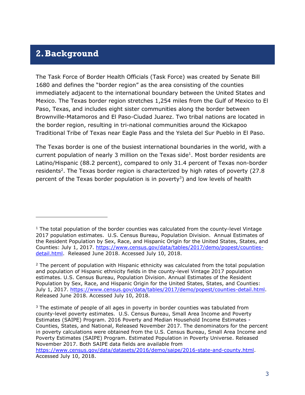# <span id="page-4-0"></span>**2.Background**

-

The Task Force of Border Health Officials (Task Force) was created by Senate Bill 1680 and defines the "border region" as the area consisting of the counties immediately adjacent to the international boundary between the United States and Mexico. The Texas border region stretches 1,254 miles from the Gulf of Mexico to El Paso, Texas, and includes eight sister communities along the border between Brownville-Matamoros and El Paso-Ciudad Juarez. Two tribal nations are located in the border region, resulting in tri-national communities around the Kickapoo Traditional Tribe of Texas near Eagle Pass and the Ysleta del Sur Pueblo in El Paso.

The Texas border is one of the busiest international boundaries in the world, with a current population of nearly 3 million on the Texas side<sup>1</sup>. Most border residents are Latino/Hispanic (88.2 percent), compared to only 31.4 percent of Texas non-border residents<sup>2</sup>. The Texas border region is characterized by high rates of poverty (27.8 percent of the Texas border population is in poverty<sup>3</sup>) and low levels of health

 $1$  The total population of the border counties was calculated from the county-level Vintage 2017 population estimates. U.S. Census Bureau, Population Division. Annual Estimates of the Resident Population by Sex, Race, and Hispanic Origin for the United States, States, and Counties: July 1, 2017. [https://www.census.gov/data/tables/2017/demo/popest/counties](https://www.census.gov/data/tables/2017/demo/popest/counties-detail.html)[detail.html.](https://www.census.gov/data/tables/2017/demo/popest/counties-detail.html) Released June 2018. Accessed July 10, 2018.

 $2$  The percent of population with Hispanic ethnicity was calculated from the total population and population of Hispanic ethnicity fields in the county-level Vintage 2017 population estimates. U.S. Census Bureau, Population Division. Annual Estimates of the Resident Population by Sex, Race, and Hispanic Origin for the United States, States, and Counties: July 1, 2017. [https://www.census.gov/data/tables/2017/demo/popest/counties-detail.html.](https://www.census.gov/data/tables/2017/demo/popest/counties-detail.html) Released June 2018. Accessed July 10, 2018.

 $3$  The estimate of people of all ages in poverty in border counties was tabulated from county-level poverty estimates. U.S. Census Bureau, Small Area Income and Poverty Estimates (SAIPE) Program. 2016 Poverty and Median Household Income Estimates - Counties, States, and National, Released November 2017. The denominators for the percent in poverty calculations were obtained from the U.S. Census Bureau, Small Area Income and Poverty Estimates (SAIPE) Program. Estimated Population in Poverty Universe. Released November 2017. Both SAIPE data fields are available from

[https://www.census.gov/data/datasets/2016/demo/saipe/2016-state-and-county.html.](https://www.census.gov/data/datasets/2016/demo/saipe/2016-state-and-county.html) Accessed July 10, 2018.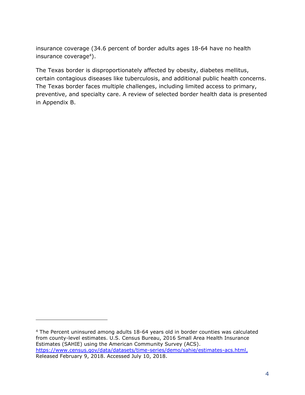insurance coverage (34.6 percent of border adults ages 18-64 have no health insurance coverage<sup>4</sup>).

The Texas border is disproportionately affected by obesity, diabetes mellitus, certain contagious diseases like tuberculosis, and additional public health concerns. The Texas border faces multiple challenges, including limited access to primary, preventive, and specialty care. A review of selected border health data is presented in Appendix B.

j

<sup>4</sup> The Percent uninsured among adults 18-64 years old in border counties was calculated from county-level estimates. U.S. Census Bureau, 2016 Small Area Health Insurance Estimates (SAHIE) using the American Community Survey (ACS). [https://www.census.gov/data/datasets/time-series/demo/sahie/estimates-acs.html,](https://www.census.gov/data/datasets/time-series/demo/sahie/estimates-acs.html) Released February 9, 2018. Accessed July 10, 2018.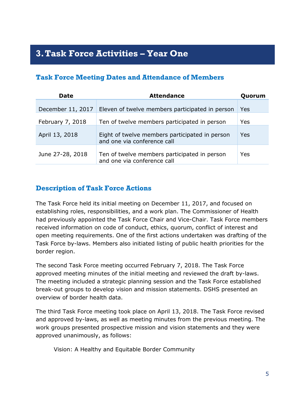# <span id="page-6-0"></span>**3.Task Force Activities – Year One**

#### **Task Force Meeting Dates and Attendance of Members**

| <b>Date</b>       | <b>Attendance</b>                                                             | Quorum     |
|-------------------|-------------------------------------------------------------------------------|------------|
| December 11, 2017 | Eleven of twelve members participated in person                               | Yes        |
| February 7, 2018  | Ten of twelve members participated in person                                  | Yes        |
| April 13, 2018    | Eight of twelve members participated in person<br>and one via conference call | <b>Yes</b> |
| June 27-28, 2018  | Ten of twelve members participated in person<br>and one via conference call   | Yes        |

#### **Description of Task Force Actions**

The Task Force held its initial meeting on December 11, 2017, and focused on establishing roles, responsibilities, and a work plan. The Commissioner of Health had previously appointed the Task Force Chair and Vice-Chair. Task Force members received information on code of conduct, ethics, quorum, conflict of interest and open meeting requirements. One of the first actions undertaken was drafting of the Task Force by-laws. Members also initiated listing of public health priorities for the border region.

The second Task Force meeting occurred February 7, 2018. The Task Force approved meeting minutes of the initial meeting and reviewed the draft by-laws. The meeting included a strategic planning session and the Task Force established break-out groups to develop vision and mission statements. DSHS presented an overview of border health data.

The third Task Force meeting took place on April 13, 2018. The Task Force revised and approved by-laws, as well as meeting minutes from the previous meeting. The work groups presented prospective mission and vision statements and they were approved unanimously, as follows:

Vision: A Healthy and Equitable Border Community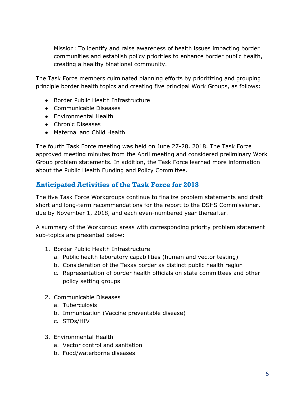Mission: To identify and raise awareness of health issues impacting border communities and establish policy priorities to enhance border public health, creating a healthy binational community.

The Task Force members culminated planning efforts by prioritizing and grouping principle border health topics and creating five principal Work Groups, as follows:

- Border Public Health Infrastructure
- Communicable Diseases
- Environmental Health
- Chronic Diseases
- Maternal and Child Health

The fourth Task Force meeting was held on June 27-28, 2018. The Task Force approved meeting minutes from the April meeting and considered preliminary Work Group problem statements. In addition, the Task Force learned more information about the Public Health Funding and Policy Committee.

## **Anticipated Activities of the Task Force for 2018**

The five Task Force Workgroups continue to finalize problem statements and draft short and long-term recommendations for the report to the DSHS Commissioner, due by November 1, 2018, and each even-numbered year thereafter.

A summary of the Workgroup areas with corresponding priority problem statement sub-topics are presented below:

- 1. Border Public Health Infrastructure
	- a. Public health laboratory capabilities (human and vector testing)
	- b. Consideration of the Texas border as distinct public health region
	- c. Representation of border health officials on state committees and other policy setting groups
- 2. Communicable Diseases
	- a. Tuberculosis
	- b. Immunization (Vaccine preventable disease)
	- c. STDs/HIV
- 3. Environmental Health
	- a. Vector control and sanitation
	- b. Food/waterborne diseases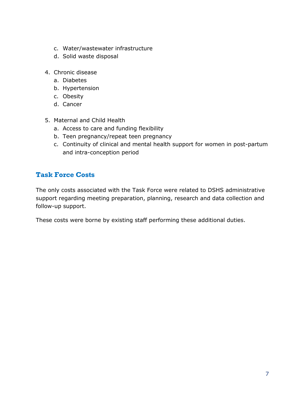- c. Water/wastewater infrastructure
- d. Solid waste disposal
- 4. Chronic disease
	- a. Diabetes
	- b. Hypertension
	- c. Obesity
	- d. Cancer
- 5. Maternal and Child Health
	- a. Access to care and funding flexibility
	- b. Teen pregnancy/repeat teen pregnancy
	- c. Continuity of clinical and mental health support for women in post-partum and intra-conception period

## **Task Force Costs**

The only costs associated with the Task Force were related to DSHS administrative support regarding meeting preparation, planning, research and data collection and follow-up support.

These costs were borne by existing staff performing these additional duties.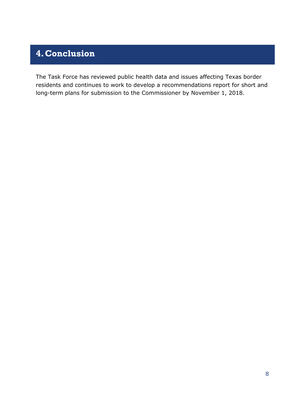# <span id="page-9-0"></span>**4.Conclusion**

The Task Force has reviewed public health data and issues affecting Texas border residents and continues to work to develop a recommendations report for short and long-term plans for submission to the Commissioner by November 1, 2018.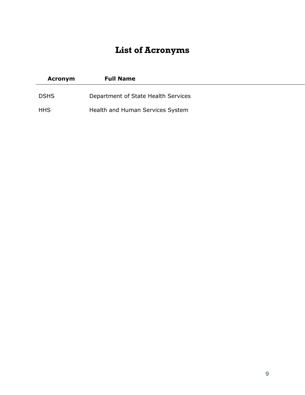# **List of Acronyms**

<span id="page-10-0"></span>

| <b>Acronym</b> | <b>Full Name</b>                    |
|----------------|-------------------------------------|
| <b>DSHS</b>    | Department of State Health Services |
| <b>HHS</b>     | Health and Human Services System    |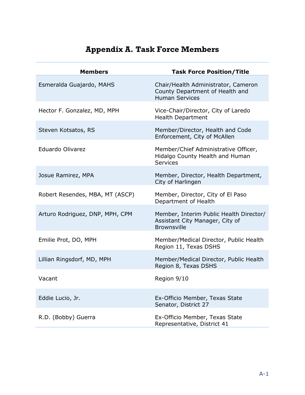<span id="page-11-0"></span>

| <b>Members</b>                  | <b>Task Force Position/Title</b>                                                                 |
|---------------------------------|--------------------------------------------------------------------------------------------------|
| Esmeralda Guajardo, MAHS        | Chair/Health Administrator, Cameron<br>County Department of Health and<br><b>Human Services</b>  |
| Hector F. Gonzalez, MD, MPH     | Vice-Chair/Director, City of Laredo<br><b>Health Department</b>                                  |
| Steven Kotsatos, RS             | Member/Director, Health and Code<br>Enforcement, City of McAllen                                 |
| Eduardo Olivarez                | Member/Chief Administrative Officer,<br>Hidalgo County Health and Human<br><b>Services</b>       |
| Josue Ramirez, MPA              | Member, Director, Health Department,<br>City of Harlingen                                        |
| Robert Resendes, MBA, MT (ASCP) | Member, Director, City of El Paso<br>Department of Health                                        |
| Arturo Rodriguez, DNP, MPH, CPM | Member, Interim Public Health Director/<br>Assistant City Manager, City of<br><b>Brownsville</b> |
| Emilie Prot, DO, MPH            | Member/Medical Director, Public Health<br>Region 11, Texas DSHS                                  |
| Lillian Ringsdorf, MD, MPH      | Member/Medical Director, Public Health<br>Region 8, Texas DSHS                                   |
| Vacant                          | Region 9/10                                                                                      |
| Eddie Lucio, Jr.                | Ex-Officio Member, Texas State<br>Senator, District 27                                           |
| R.D. (Bobby) Guerra             | Ex-Officio Member, Texas State<br>Representative, District 41                                    |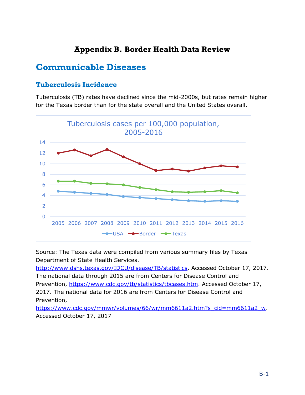# **Appendix B. Border Health Data Review**

# <span id="page-12-1"></span><span id="page-12-0"></span>**Communicable Diseases**

#### **Tuberculosis Incidence**

Tuberculosis (TB) rates have declined since the mid-2000s, but rates remain higher for the Texas border than for the state overall and the United States overall.



Source: The Texas data were compiled from various summary files by Texas Department of State Health Services.

[http://www.dshs.texas.gov/IDCU/disease/TB/statistics.](http://www.dshs.texas.gov/IDCU/disease/TB/statistics) Accessed October 17, 2017. The national data through 2015 are from Centers for Disease Control and Prevention, [https://www.cdc.gov/tb/statistics/tbcases.htm.](https://www.cdc.gov/tb/statistics/tbcases.htm) Accessed October 17, 2017. The national data for 2016 are from Centers for Disease Control and Prevention,

[https://www.cdc.gov/mmwr/volumes/66/wr/mm6611a2.htm?s\\_cid=mm6611a2\\_w.](https://www.cdc.gov/mmwr/volumes/66/wr/mm6611a2.htm?s_cid=mm6611a2_w) Accessed October 17, 2017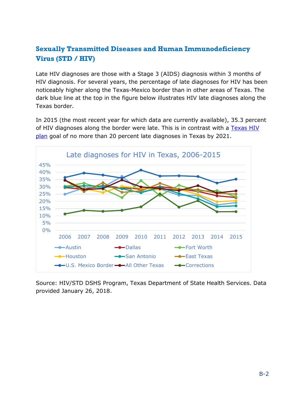## **Sexually Transmitted Diseases and Human Immunodeficiency Virus (STD / HIV)**

Late HIV diagnoses are those with a Stage 3 (AIDS) diagnosis within 3 months of HIV diagnosis. For several years, the percentage of late diagnoses for HIV has been noticeably higher along the Texas-Mexico border than in other areas of Texas. The dark blue line at the top in the figure below illustrates HIV late diagnoses along the Texas border.

In 2015 (the most recent year for which data are currently available), 35.3 percent of HIV diagnoses along the border were late. This is in contrast with a [Texas HIV](https://txhivsyndicateorg.files.wordpress.com/2017/08/2017-2021-texas-hiv-plan.pdf)  [plan](https://txhivsyndicateorg.files.wordpress.com/2017/08/2017-2021-texas-hiv-plan.pdf) goal of no more than 20 percent late diagnoses in Texas by 2021.



Source: HIV/STD DSHS Program, Texas Department of State Health Services. Data provided January 26, 2018.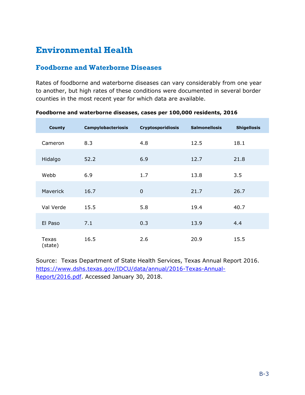# <span id="page-14-0"></span>**Environmental Health**

#### **Foodborne and Waterborne Diseases**

Rates of foodborne and waterborne diseases can vary considerably from one year to another, but high rates of these conditions were documented in several border counties in the most recent year for which data are available.

| <b>County</b>    | <b>Campylobacteriosis</b> | <b>Cryptosporidiosis</b> | <b>Salmonellosis</b> | <b>Shigellosis</b> |
|------------------|---------------------------|--------------------------|----------------------|--------------------|
| Cameron          | 8.3                       | 4.8                      | 12.5                 | 18.1               |
| Hidalgo          | 52.2                      | 6.9                      | 12.7                 | 21.8               |
| Webb             | 6.9                       | 1.7                      | 13.8                 | 3.5                |
| Maverick         | 16.7                      | $\overline{0}$           | 21.7                 | 26.7               |
| Val Verde        | 15.5                      | 5.8                      | 19.4                 | 40.7               |
| El Paso          | 7.1                       | 0.3                      | 13.9                 | 4.4                |
| Texas<br>(state) | 16.5                      | 2.6                      | 20.9                 | 15.5               |

#### **Foodborne and waterborne diseases, cases per 100,000 residents, 2016**

Source: Texas Department of State Health Services, Texas Annual Report 2016. [https://www.dshs.texas.gov/IDCU/data/annual/2016-Texas-Annual-](https://www.dshs.texas.gov/IDCU/data/annual/2016-Texas-Annual-Report/2016.pdf)[Report/2016.pdf.](https://www.dshs.texas.gov/IDCU/data/annual/2016-Texas-Annual-Report/2016.pdf) Accessed January 30, 2018.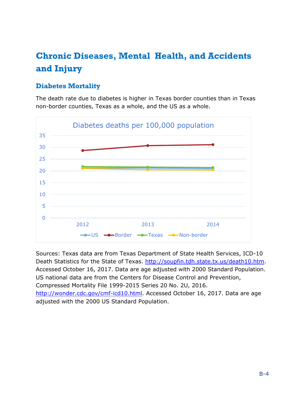# <span id="page-15-0"></span>**Chronic Diseases, Mental Health, and Accidents and Injury**

### **Diabetes Mortality**

The death rate due to diabetes is higher in Texas border counties than in Texas non-border counties, Texas as a whole, and the US as a whole.



Sources: Texas data are from Texas Department of State Health Services, ICD-10 Death Statistics for the State of Texas. [http://soupfin.tdh.state.tx.us/death10.htm.](http://soupfin.tdh.state.tx.us/death10.htm) Accessed October 16, 2017. Data are age adjusted with 2000 Standard Population. US national data are from the Centers for Disease Control and Prevention, Compressed Mortality File 1999-2015 Series 20 No. 2U, 2016. http://wonder.cdc.gov/cmf-icd10.html</u>. Accessed October 16, 2017. Data are age adjusted with the 2000 US Standard Population.